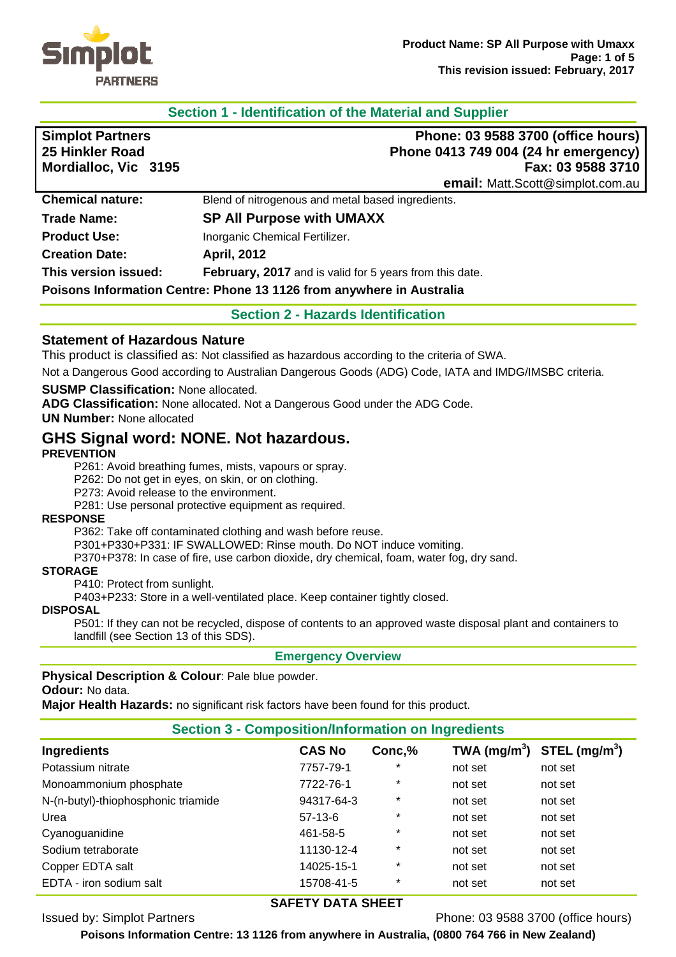

## **Section 1 - Identification of the Material and Supplier**

| <b>Simplot Partners</b><br>25 Hinkler Road<br>Mordialloc, Vic 3195 | Phone: 03 9588 3700 (office hours)<br>Phone 0413 749 004 (24 hr emergency)<br>Fax: 03 9588 3710 |
|--------------------------------------------------------------------|-------------------------------------------------------------------------------------------------|
|                                                                    | email: Matt.Scott@simplot.com.au                                                                |
| <b>Chemical nature:</b>                                            | Blend of nitrogenous and metal based ingredients.                                               |
| <b>Trade Name:</b>                                                 | <b>SP All Purpose with UMAXX</b>                                                                |
| <b>Product Use:</b>                                                | Inorganic Chemical Fertilizer.                                                                  |
| <b>Creation Date:</b>                                              | <b>April, 2012</b>                                                                              |
| This version issued:                                               | February, 2017 and is valid for 5 years from this date.                                         |
|                                                                    | Poisons Information Centre: Phone 13 1126 from anywhere in Australia                            |

**Section 2 - Hazards Identification** 

### **Statement of Hazardous Nature**

This product is classified as: Not classified as hazardous according to the criteria of SWA.

Not a Dangerous Good according to Australian Dangerous Goods (ADG) Code, IATA and IMDG/IMSBC criteria.

#### **SUSMP Classification:** None allocated.

**ADG Classification:** None allocated. Not a Dangerous Good under the ADG Code.

**UN Number:** None allocated

# **GHS Signal word: NONE. Not hazardous.**

#### **PREVENTION**

P261: Avoid breathing fumes, mists, vapours or spray.

P262: Do not get in eyes, on skin, or on clothing.

P273: Avoid release to the environment.

P281: Use personal protective equipment as required.

#### **RESPONSE**

P362: Take off contaminated clothing and wash before reuse.

P301+P330+P331: IF SWALLOWED: Rinse mouth. Do NOT induce vomiting.

P370+P378: In case of fire, use carbon dioxide, dry chemical, foam, water fog, dry sand.

#### **STORAGE**

P410: Protect from sunlight.

P403+P233: Store in a well-ventilated place. Keep container tightly closed.

#### **DISPOSAL**

P501: If they can not be recycled, dispose of contents to an approved waste disposal plant and containers to landfill (see Section 13 of this SDS).

#### **Emergency Overview**

**Physical Description & Colour**: Pale blue powder.

**Odour:** No data.

**Major Health Hazards:** no significant risk factors have been found for this product.

#### **Section 3 - Composition/Information on Ingredients**

| <b>CAS No</b> | Conc,%  | TWA (mg/m <sup>3</sup> ) STEL (mg/m <sup>3</sup> ) |         |
|---------------|---------|----------------------------------------------------|---------|
| 7757-79-1     | $\star$ | not set                                            | not set |
| 7722-76-1     | $\star$ | not set                                            | not set |
| 94317-64-3    | $\ast$  | not set                                            | not set |
| $57-13-6$     | $\star$ | not set                                            | not set |
| 461-58-5      | $\star$ | not set                                            | not set |
| 11130-12-4    | $^\ast$ | not set                                            | not set |
| 14025-15-1    | $\star$ | not set                                            | not set |
| 15708-41-5    | $\ast$  | not set                                            | not set |
|               |         |                                                    |         |

## **SAFETY DATA SHEET**

Issued by: Simplot Partners Phone: 03 9588 3700 (office hours)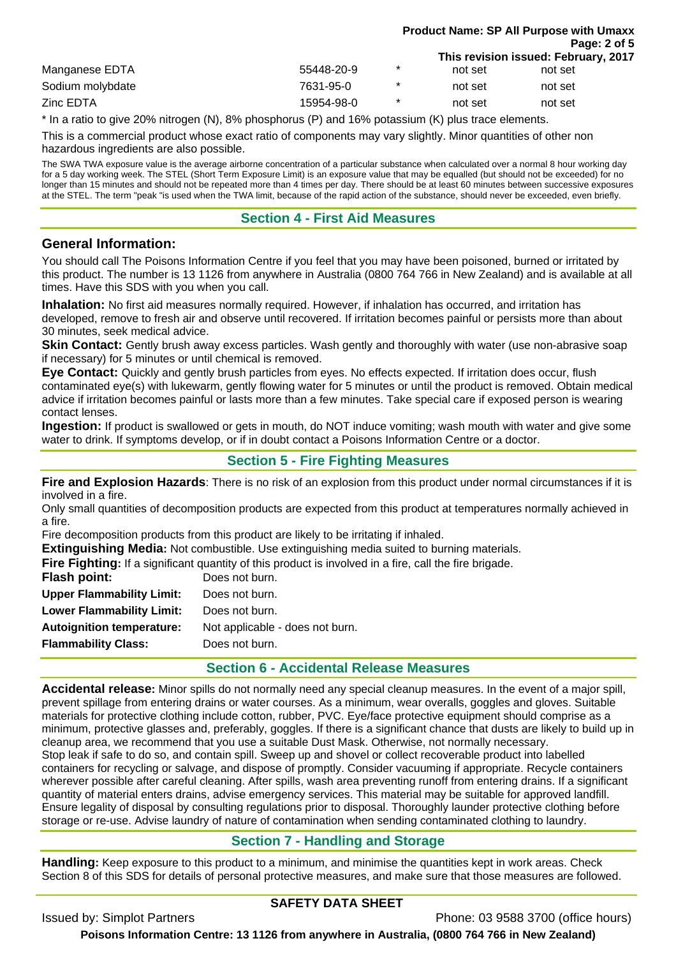|                  |            |         |         | <b>Product Name: SP All Purpose with Umaxx</b> |  |
|------------------|------------|---------|---------|------------------------------------------------|--|
|                  |            |         |         | Page: 2 of 5                                   |  |
|                  |            |         |         | This revision issued: February, 2017           |  |
| Manganese EDTA   | 55448-20-9 | $\ast$  | not set | not set                                        |  |
| Sodium molybdate | 7631-95-0  | $\star$ | not set | not set                                        |  |
| Zinc EDTA        | 15954-98-0 | $\ast$  | not set | not set                                        |  |

\* In a ratio to give 20% nitrogen (N), 8% phosphorus (P) and 16% potassium (K) plus trace elements.

This is a commercial product whose exact ratio of components may vary slightly. Minor quantities of other non hazardous ingredients are also possible.

The SWA TWA exposure value is the average airborne concentration of a particular substance when calculated over a normal 8 hour working day for a 5 day working week. The STEL (Short Term Exposure Limit) is an exposure value that may be equalled (but should not be exceeded) for no longer than 15 minutes and should not be repeated more than 4 times per day. There should be at least 60 minutes between successive exposures at the STEL. The term "peak "is used when the TWA limit, because of the rapid action of the substance, should never be exceeded, even briefly.

### **Section 4 - First Aid Measures**

## **General Information:**

You should call The Poisons Information Centre if you feel that you may have been poisoned, burned or irritated by this product. The number is 13 1126 from anywhere in Australia (0800 764 766 in New Zealand) and is available at all times. Have this SDS with you when you call.

**Inhalation:** No first aid measures normally required. However, if inhalation has occurred, and irritation has developed, remove to fresh air and observe until recovered. If irritation becomes painful or persists more than about 30 minutes, seek medical advice.

**Skin Contact:** Gently brush away excess particles. Wash gently and thoroughly with water (use non-abrasive soap if necessary) for 5 minutes or until chemical is removed.

**Eye Contact:** Quickly and gently brush particles from eyes. No effects expected. If irritation does occur, flush contaminated eye(s) with lukewarm, gently flowing water for 5 minutes or until the product is removed. Obtain medical advice if irritation becomes painful or lasts more than a few minutes. Take special care if exposed person is wearing contact lenses.

**Ingestion:** If product is swallowed or gets in mouth, do NOT induce vomiting; wash mouth with water and give some water to drink. If symptoms develop, or if in doubt contact a Poisons Information Centre or a doctor.

## **Section 5 - Fire Fighting Measures**

**Fire and Explosion Hazards**: There is no risk of an explosion from this product under normal circumstances if it is involved in a fire.

Only small quantities of decomposition products are expected from this product at temperatures normally achieved in a fire.

Fire decomposition products from this product are likely to be irritating if inhaled.

**Extinguishing Media:** Not combustible. Use extinguishing media suited to burning materials.

**Fire Fighting:** If a significant quantity of this product is involved in a fire, call the fire brigade.

| Flash point:                     | Does not burn.                  |
|----------------------------------|---------------------------------|
| <b>Upper Flammability Limit:</b> | Does not burn.                  |
| <b>Lower Flammability Limit:</b> | Does not burn.                  |
| <b>Autoignition temperature:</b> | Not applicable - does not burn. |
| <b>Flammability Class:</b>       | Does not burn.                  |
|                                  |                                 |

## **Section 6 - Accidental Release Measures**

**Accidental release:** Minor spills do not normally need any special cleanup measures. In the event of a major spill, prevent spillage from entering drains or water courses. As a minimum, wear overalls, goggles and gloves. Suitable materials for protective clothing include cotton, rubber, PVC. Eye/face protective equipment should comprise as a minimum, protective glasses and, preferably, goggles. If there is a significant chance that dusts are likely to build up in cleanup area, we recommend that you use a suitable Dust Mask. Otherwise, not normally necessary. Stop leak if safe to do so, and contain spill. Sweep up and shovel or collect recoverable product into labelled containers for recycling or salvage, and dispose of promptly. Consider vacuuming if appropriate. Recycle containers wherever possible after careful cleaning. After spills, wash area preventing runoff from entering drains. If a significant quantity of material enters drains, advise emergency services. This material may be suitable for approved landfill. Ensure legality of disposal by consulting regulations prior to disposal. Thoroughly launder protective clothing before storage or re-use. Advise laundry of nature of contamination when sending contaminated clothing to laundry.

# **Section 7 - Handling and Storage**

**Handling:** Keep exposure to this product to a minimum, and minimise the quantities kept in work areas. Check Section 8 of this SDS for details of personal protective measures, and make sure that those measures are followed.

# **SAFETY DATA SHEET**

Issued by: Simplot Partners **Phone: 03 9588 3700** (office hours)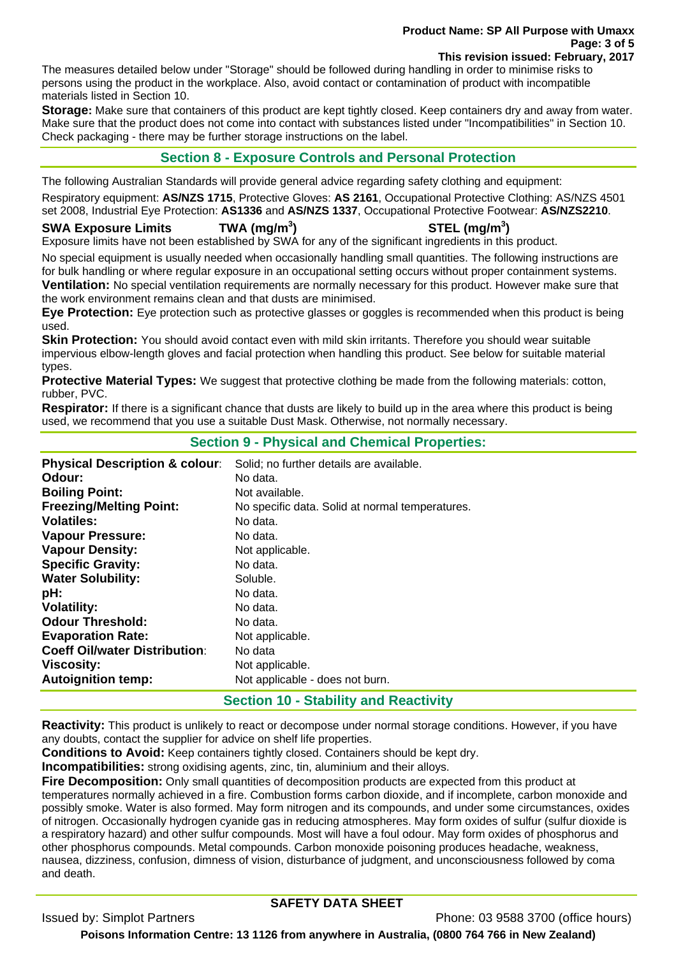# **Product Name: SP All Purpose with Umaxx Page: 3 of 5**

**This revision issued: February, 2017** 

The measures detailed below under "Storage" should be followed during handling in order to minimise risks to persons using the product in the workplace. Also, avoid contact or contamination of product with incompatible materials listed in Section 10.

**Storage:** Make sure that containers of this product are kept tightly closed. Keep containers dry and away from water. Make sure that the product does not come into contact with substances listed under "Incompatibilities" in Section 10. Check packaging - there may be further storage instructions on the label.

# **Section 8 - Exposure Controls and Personal Protection**

The following Australian Standards will provide general advice regarding safety clothing and equipment:

Respiratory equipment: **AS/NZS 1715**, Protective Gloves: **AS 2161**, Occupational Protective Clothing: AS/NZS 4501 set 2008, Industrial Eye Protection: **AS1336** and **AS/NZS 1337**, Occupational Protective Footwear: **AS/NZS2210**.

#### **SWA Exposure Limits TWA (mg/m<sup>3</sup>**

**) STEL (mg/m<sup>3</sup> )** 

Exposure limits have not been established by SWA for any of the significant ingredients in this product.

No special equipment is usually needed when occasionally handling small quantities. The following instructions are for bulk handling or where regular exposure in an occupational setting occurs without proper containment systems. **Ventilation:** No special ventilation requirements are normally necessary for this product. However make sure that the work environment remains clean and that dusts are minimised.

**Eye Protection:** Eye protection such as protective glasses or goggles is recommended when this product is being used.

**Skin Protection:** You should avoid contact even with mild skin irritants. Therefore you should wear suitable impervious elbow-length gloves and facial protection when handling this product. See below for suitable material types.

**Protective Material Types:** We suggest that protective clothing be made from the following materials: cotton, rubber, PVC.

**Respirator:** If there is a significant chance that dusts are likely to build up in the area where this product is being used, we recommend that you use a suitable Dust Mask. Otherwise, not normally necessary.

## **Section 9 - Physical and Chemical Properties:**

| <b>Physical Description &amp; colour:</b> | Solid; no further details are available.        |
|-------------------------------------------|-------------------------------------------------|
| Odour:                                    | No data.                                        |
| <b>Boiling Point:</b>                     | Not available.                                  |
| <b>Freezing/Melting Point:</b>            | No specific data. Solid at normal temperatures. |
| <b>Volatiles:</b>                         | No data.                                        |
| <b>Vapour Pressure:</b>                   | No data.                                        |
| <b>Vapour Density:</b>                    | Not applicable.                                 |
| <b>Specific Gravity:</b>                  | No data.                                        |
| <b>Water Solubility:</b>                  | Soluble.                                        |
| pH:                                       | No data.                                        |
| <b>Volatility:</b>                        | No data.                                        |
| <b>Odour Threshold:</b>                   | No data.                                        |
| <b>Evaporation Rate:</b>                  | Not applicable.                                 |
| <b>Coeff Oil/water Distribution:</b>      | No data                                         |
| <b>Viscosity:</b>                         | Not applicable.                                 |
| <b>Autoignition temp:</b>                 | Not applicable - does not burn.                 |

# **Section 10 - Stability and Reactivity**

**Reactivity:** This product is unlikely to react or decompose under normal storage conditions. However, if you have any doubts, contact the supplier for advice on shelf life properties.

**Conditions to Avoid:** Keep containers tightly closed. Containers should be kept dry.

**Incompatibilities:** strong oxidising agents, zinc, tin, aluminium and their alloys.

**Fire Decomposition:** Only small quantities of decomposition products are expected from this product at temperatures normally achieved in a fire. Combustion forms carbon dioxide, and if incomplete, carbon monoxide and possibly smoke. Water is also formed. May form nitrogen and its compounds, and under some circumstances, oxides of nitrogen. Occasionally hydrogen cyanide gas in reducing atmospheres. May form oxides of sulfur (sulfur dioxide is a respiratory hazard) and other sulfur compounds. Most will have a foul odour. May form oxides of phosphorus and other phosphorus compounds. Metal compounds. Carbon monoxide poisoning produces headache, weakness, nausea, dizziness, confusion, dimness of vision, disturbance of judgment, and unconsciousness followed by coma and death.

# **SAFETY DATA SHEET**

Issued by: Simplot Partners Phone: 03 9588 3700 (office hours)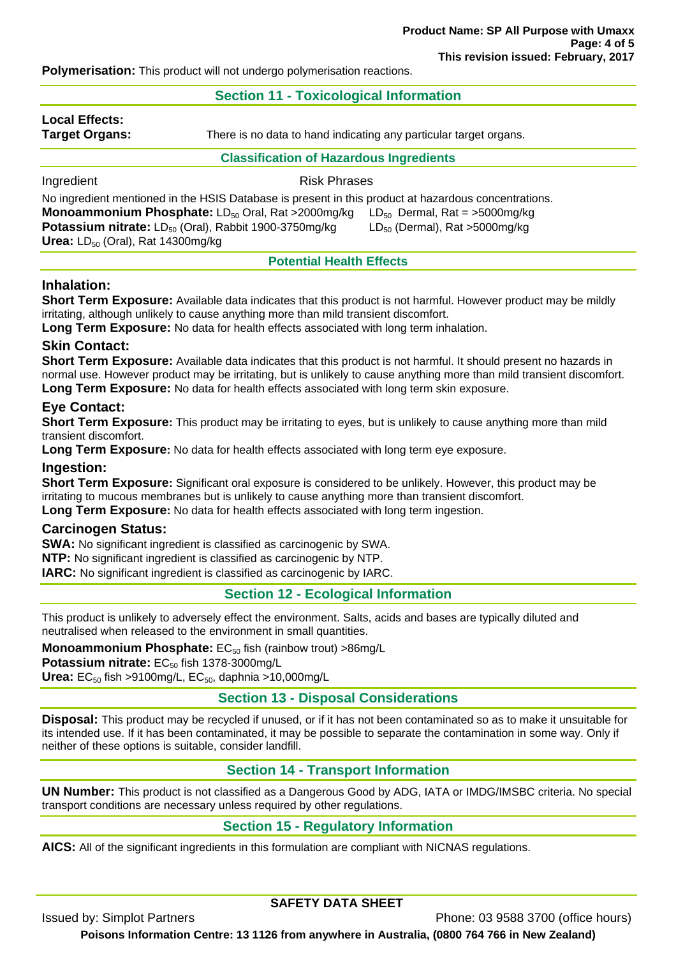**Polymerisation:** This product will not undergo polymerisation reactions.

### **Section 11 - Toxicological Information**

**Local Effects:** 

**Target Organs:** There is no data to hand indicating any particular target organs.

**Classification of Hazardous Ingredients** 

# Ingredient **Risk Phrases**

No ingredient mentioned in the HSIS Database is present in this product at hazardous concentrations. **Monoammonium Phosphate:** LD<sub>50</sub> Oral, Rat >2000mg/kg LD<sub>50</sub> Dermal, Rat = >5000mg/kg **Potassium nitrate:** LD<sub>50</sub> (Oral), Rabbit 1900-3750mg/kg LD<sub>50</sub> (Dermal), Rat >5000mg/kg **Urea:** LD<sub>50</sub> (Oral), Rat 14300mg/kg

### **Potential Health Effects**

## **Inhalation:**

**Short Term Exposure:** Available data indicates that this product is not harmful. However product may be mildly irritating, although unlikely to cause anything more than mild transient discomfort.

**Long Term Exposure:** No data for health effects associated with long term inhalation.

## **Skin Contact:**

**Short Term Exposure:** Available data indicates that this product is not harmful. It should present no hazards in normal use. However product may be irritating, but is unlikely to cause anything more than mild transient discomfort. **Long Term Exposure:** No data for health effects associated with long term skin exposure.

## **Eye Contact:**

**Short Term Exposure:** This product may be irritating to eyes, but is unlikely to cause anything more than mild transient discomfort.

**Long Term Exposure:** No data for health effects associated with long term eye exposure.

## **Ingestion:**

**Short Term Exposure:** Significant oral exposure is considered to be unlikely. However, this product may be irritating to mucous membranes but is unlikely to cause anything more than transient discomfort. **Long Term Exposure:** No data for health effects associated with long term ingestion.

## **Carcinogen Status:**

**SWA:** No significant ingredient is classified as carcinogenic by SWA.

**NTP:** No significant ingredient is classified as carcinogenic by NTP.

**IARC:** No significant ingredient is classified as carcinogenic by IARC.

## **Section 12 - Ecological Information**

This product is unlikely to adversely effect the environment. Salts, acids and bases are typically diluted and neutralised when released to the environment in small quantities.

**Monoammonium Phosphate:** EC<sub>50</sub> fish (rainbow trout) >86mg/L

Potassium nitrate: EC<sub>50</sub> fish 1378-3000mg/L

**Urea:** EC<sub>50</sub> fish >9100mg/L, EC<sub>50</sub>, daphnia >10,000mg/L

# **Section 13 - Disposal Considerations**

**Disposal:** This product may be recycled if unused, or if it has not been contaminated so as to make it unsuitable for its intended use. If it has been contaminated, it may be possible to separate the contamination in some way. Only if neither of these options is suitable, consider landfill.

# **Section 14 - Transport Information**

**UN Number:** This product is not classified as a Dangerous Good by ADG, IATA or IMDG/IMSBC criteria. No special transport conditions are necessary unless required by other regulations.

# **Section 15 - Regulatory Information**

**AICS:** All of the significant ingredients in this formulation are compliant with NICNAS regulations.

# **SAFETY DATA SHEET**

Issued by: Simplot Partners Phone: 03 9588 3700 (office hours)